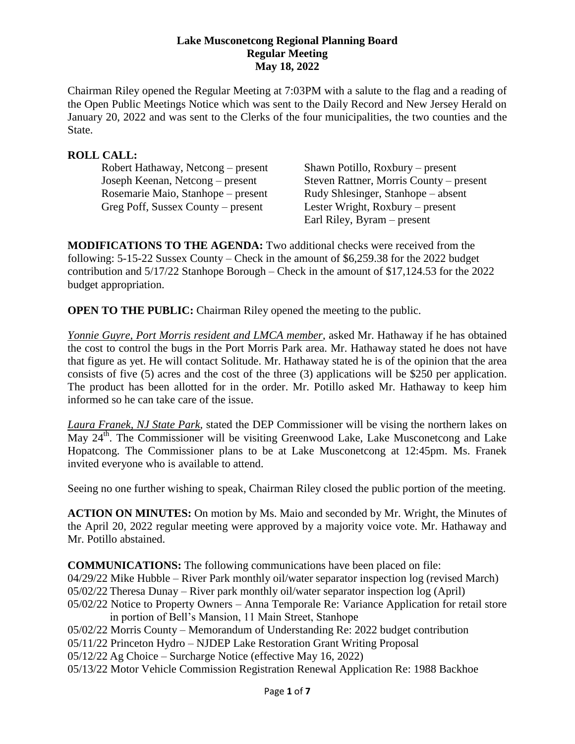#### **Lake Musconetcong Regional Planning Board Regular Meeting May 18, 2022**

Chairman Riley opened the Regular Meeting at 7:03PM with a salute to the flag and a reading of the Open Public Meetings Notice which was sent to the Daily Record and New Jersey Herald on January 20, 2022 and was sent to the Clerks of the four municipalities, the two counties and the State.

## **ROLL CALL:**

Robert Hathaway, Netcong – present Shawn Potillo, Roxbury – present Rosemarie Maio, Stanhope – present Rudy Shlesinger, Stanhope – absent Greg Poff, Sussex County – present Lester Wright, Roxbury – present

Joseph Keenan, Netcong – present Steven Rattner, Morris County – present Earl Riley, Byram – present

**MODIFICATIONS TO THE AGENDA:** Two additional checks were received from the following: 5-15-22 Sussex County – Check in the amount of \$6,259.38 for the 2022 budget contribution and 5/17/22 Stanhope Borough – Check in the amount of \$17,124.53 for the 2022 budget appropriation.

**OPEN TO THE PUBLIC:** Chairman Riley opened the meeting to the public.

*Yonnie Guyre, Port Morris resident and LMCA member*, asked Mr. Hathaway if he has obtained the cost to control the bugs in the Port Morris Park area. Mr. Hathaway stated he does not have that figure as yet. He will contact Solitude. Mr. Hathaway stated he is of the opinion that the area consists of five (5) acres and the cost of the three (3) applications will be \$250 per application. The product has been allotted for in the order. Mr. Potillo asked Mr. Hathaway to keep him informed so he can take care of the issue.

*Laura Franek, NJ State Park*, stated the DEP Commissioner will be vising the northern lakes on May 24<sup>th</sup>. The Commissioner will be visiting Greenwood Lake, Lake Musconetcong and Lake Hopatcong. The Commissioner plans to be at Lake Musconetcong at 12:45pm. Ms. Franek invited everyone who is available to attend.

Seeing no one further wishing to speak, Chairman Riley closed the public portion of the meeting.

**ACTION ON MINUTES:** On motion by Ms. Maio and seconded by Mr. Wright, the Minutes of the April 20, 2022 regular meeting were approved by a majority voice vote. Mr. Hathaway and Mr. Potillo abstained.

**COMMUNICATIONS:** The following communications have been placed on file: 04/29/22 Mike Hubble – River Park monthly oil/water separator inspection log (revised March) 05/02/22 Theresa Dunay – River park monthly oil/water separator inspection log (April) 05/02/22 Notice to Property Owners – Anna Temporale Re: Variance Application for retail store in portion of Bell's Mansion, 11 Main Street, Stanhope 05/02/22 Morris County – Memorandum of Understanding Re: 2022 budget contribution 05/11/22 Princeton Hydro – NJDEP Lake Restoration Grant Writing Proposal 05/12/22 Ag Choice – Surcharge Notice (effective May 16, 2022)

05/13/22 Motor Vehicle Commission Registration Renewal Application Re: 1988 Backhoe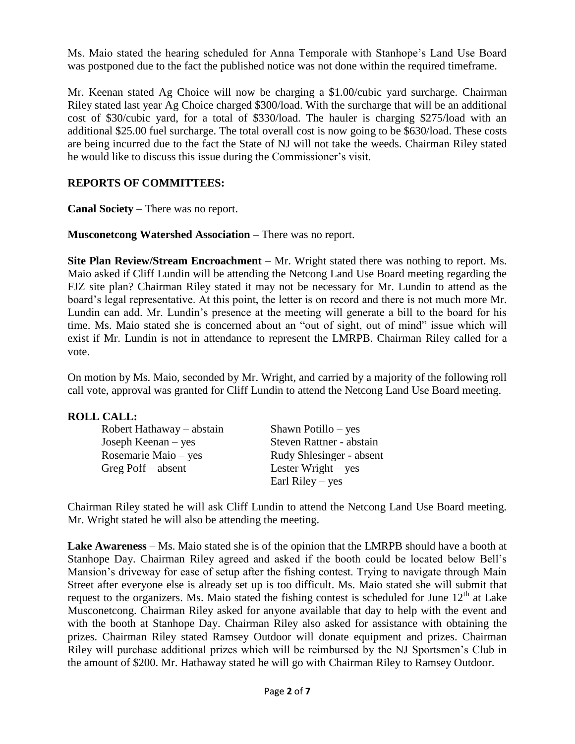Ms. Maio stated the hearing scheduled for Anna Temporale with Stanhope's Land Use Board was postponed due to the fact the published notice was not done within the required timeframe.

Mr. Keenan stated Ag Choice will now be charging a \$1.00/cubic yard surcharge. Chairman Riley stated last year Ag Choice charged \$300/load. With the surcharge that will be an additional cost of \$30/cubic yard, for a total of \$330/load. The hauler is charging \$275/load with an additional \$25.00 fuel surcharge. The total overall cost is now going to be \$630/load. These costs are being incurred due to the fact the State of NJ will not take the weeds. Chairman Riley stated he would like to discuss this issue during the Commissioner's visit.

# **REPORTS OF COMMITTEES:**

**Canal Society** – There was no report.

**Musconetcong Watershed Association** – There was no report.

**Site Plan Review/Stream Encroachment** – Mr. Wright stated there was nothing to report. Ms. Maio asked if Cliff Lundin will be attending the Netcong Land Use Board meeting regarding the FJZ site plan? Chairman Riley stated it may not be necessary for Mr. Lundin to attend as the board's legal representative. At this point, the letter is on record and there is not much more Mr. Lundin can add. Mr. Lundin's presence at the meeting will generate a bill to the board for his time. Ms. Maio stated she is concerned about an "out of sight, out of mind" issue which will exist if Mr. Lundin is not in attendance to represent the LMRPB. Chairman Riley called for a vote.

On motion by Ms. Maio, seconded by Mr. Wright, and carried by a majority of the following roll call vote, approval was granted for Cliff Lundin to attend the Netcong Land Use Board meeting.

## **ROLL CALL:**

| Robert Hathaway – abstain | Shawn Potillo – yes      |
|---------------------------|--------------------------|
| Joseph Keenan $-$ yes     | Steven Rattner - abstain |
| Rosemarie Maio – yes      | Rudy Shlesinger - absent |
| Greg Poff $-$ absent      | Lester Wright $-$ yes    |
|                           | Earl Riley $-$ yes       |
|                           |                          |

Chairman Riley stated he will ask Cliff Lundin to attend the Netcong Land Use Board meeting. Mr. Wright stated he will also be attending the meeting.

**Lake Awareness** – Ms. Maio stated she is of the opinion that the LMRPB should have a booth at Stanhope Day. Chairman Riley agreed and asked if the booth could be located below Bell's Mansion's driveway for ease of setup after the fishing contest. Trying to navigate through Main Street after everyone else is already set up is too difficult. Ms. Maio stated she will submit that request to the organizers. Ms. Maio stated the fishing contest is scheduled for June  $12<sup>th</sup>$  at Lake Musconetcong. Chairman Riley asked for anyone available that day to help with the event and with the booth at Stanhope Day. Chairman Riley also asked for assistance with obtaining the prizes. Chairman Riley stated Ramsey Outdoor will donate equipment and prizes. Chairman Riley will purchase additional prizes which will be reimbursed by the NJ Sportsmen's Club in the amount of \$200. Mr. Hathaway stated he will go with Chairman Riley to Ramsey Outdoor.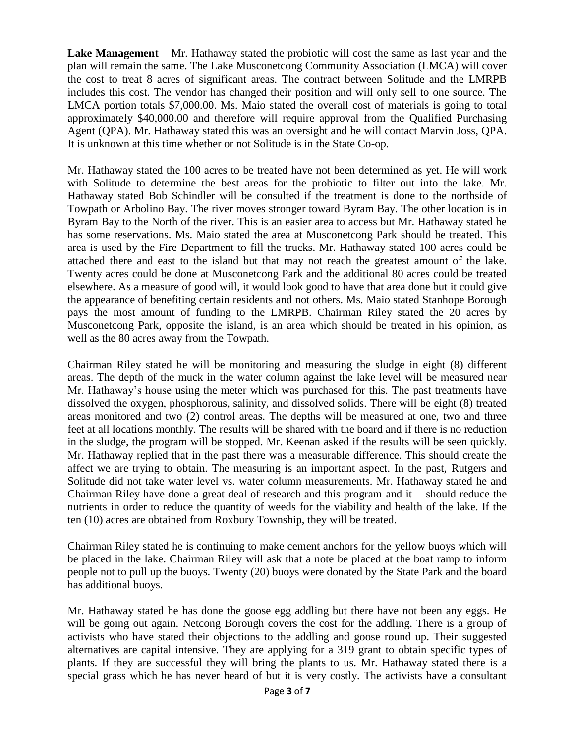**Lake Management** – Mr. Hathaway stated the probiotic will cost the same as last year and the plan will remain the same. The Lake Musconetcong Community Association (LMCA) will cover the cost to treat 8 acres of significant areas. The contract between Solitude and the LMRPB includes this cost. The vendor has changed their position and will only sell to one source. The LMCA portion totals \$7,000.00. Ms. Maio stated the overall cost of materials is going to total approximately \$40,000.00 and therefore will require approval from the Qualified Purchasing Agent (QPA). Mr. Hathaway stated this was an oversight and he will contact Marvin Joss, QPA. It is unknown at this time whether or not Solitude is in the State Co-op.

Mr. Hathaway stated the 100 acres to be treated have not been determined as yet. He will work with Solitude to determine the best areas for the probiotic to filter out into the lake. Mr. Hathaway stated Bob Schindler will be consulted if the treatment is done to the northside of Towpath or Arbolino Bay. The river moves stronger toward Byram Bay. The other location is in Byram Bay to the North of the river. This is an easier area to access but Mr. Hathaway stated he has some reservations. Ms. Maio stated the area at Musconetcong Park should be treated. This area is used by the Fire Department to fill the trucks. Mr. Hathaway stated 100 acres could be attached there and east to the island but that may not reach the greatest amount of the lake. Twenty acres could be done at Musconetcong Park and the additional 80 acres could be treated elsewhere. As a measure of good will, it would look good to have that area done but it could give the appearance of benefiting certain residents and not others. Ms. Maio stated Stanhope Borough pays the most amount of funding to the LMRPB. Chairman Riley stated the 20 acres by Musconetcong Park, opposite the island, is an area which should be treated in his opinion, as well as the 80 acres away from the Towpath.

Chairman Riley stated he will be monitoring and measuring the sludge in eight (8) different areas. The depth of the muck in the water column against the lake level will be measured near Mr. Hathaway's house using the meter which was purchased for this. The past treatments have dissolved the oxygen, phosphorous, salinity, and dissolved solids. There will be eight (8) treated areas monitored and two (2) control areas. The depths will be measured at one, two and three feet at all locations monthly. The results will be shared with the board and if there is no reduction in the sludge, the program will be stopped. Mr. Keenan asked if the results will be seen quickly. Mr. Hathaway replied that in the past there was a measurable difference. This should create the affect we are trying to obtain. The measuring is an important aspect. In the past, Rutgers and Solitude did not take water level vs. water column measurements. Mr. Hathaway stated he and Chairman Riley have done a great deal of research and this program and it should reduce the nutrients in order to reduce the quantity of weeds for the viability and health of the lake. If the ten (10) acres are obtained from Roxbury Township, they will be treated.

Chairman Riley stated he is continuing to make cement anchors for the yellow buoys which will be placed in the lake. Chairman Riley will ask that a note be placed at the boat ramp to inform people not to pull up the buoys. Twenty (20) buoys were donated by the State Park and the board has additional buoys.

Mr. Hathaway stated he has done the goose egg addling but there have not been any eggs. He will be going out again. Netcong Borough covers the cost for the addling. There is a group of activists who have stated their objections to the addling and goose round up. Their suggested alternatives are capital intensive. They are applying for a 319 grant to obtain specific types of plants. If they are successful they will bring the plants to us. Mr. Hathaway stated there is a special grass which he has never heard of but it is very costly. The activists have a consultant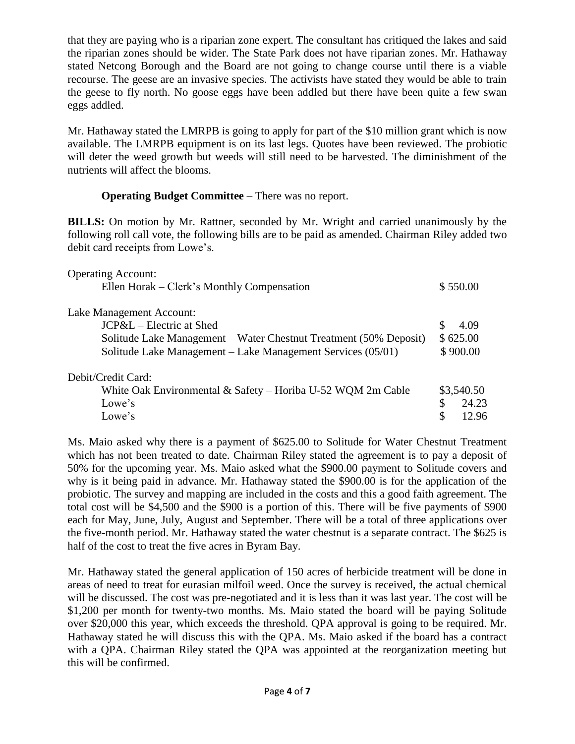that they are paying who is a riparian zone expert. The consultant has critiqued the lakes and said the riparian zones should be wider. The State Park does not have riparian zones. Mr. Hathaway stated Netcong Borough and the Board are not going to change course until there is a viable recourse. The geese are an invasive species. The activists have stated they would be able to train the geese to fly north. No goose eggs have been addled but there have been quite a few swan eggs addled.

Mr. Hathaway stated the LMRPB is going to apply for part of the \$10 million grant which is now available. The LMRPB equipment is on its last legs. Quotes have been reviewed. The probiotic will deter the weed growth but weeds will still need to be harvested. The diminishment of the nutrients will affect the blooms.

# **Operating Budget Committee** – There was no report.

**BILLS:** On motion by Mr. Rattner, seconded by Mr. Wright and carried unanimously by the following roll call vote, the following bills are to be paid as amended. Chairman Riley added two debit card receipts from Lowe's.

| <b>Operating Account:</b>                                         |             |
|-------------------------------------------------------------------|-------------|
| Ellen Horak – Clerk's Monthly Compensation                        | \$550.00    |
| Lake Management Account:                                          |             |
| $JCP&L - Electric$ at Shed                                        | \$.<br>4.09 |
| Solitude Lake Management – Water Chestnut Treatment (50% Deposit) | \$625.00    |
| Solitude Lake Management – Lake Management Services (05/01)       |             |
| Debit/Credit Card:                                                |             |
| White Oak Environmental & Safety – Horiba U-52 WQM 2m Cable       | \$3,540.50  |
| Lowe's                                                            | 24.23<br>\$ |
| Lowe's                                                            | £.<br>12.96 |

Ms. Maio asked why there is a payment of \$625.00 to Solitude for Water Chestnut Treatment which has not been treated to date. Chairman Riley stated the agreement is to pay a deposit of 50% for the upcoming year. Ms. Maio asked what the \$900.00 payment to Solitude covers and why is it being paid in advance. Mr. Hathaway stated the \$900.00 is for the application of the probiotic. The survey and mapping are included in the costs and this a good faith agreement. The total cost will be \$4,500 and the \$900 is a portion of this. There will be five payments of \$900 each for May, June, July, August and September. There will be a total of three applications over the five-month period. Mr. Hathaway stated the water chestnut is a separate contract. The \$625 is half of the cost to treat the five acres in Byram Bay.

Mr. Hathaway stated the general application of 150 acres of herbicide treatment will be done in areas of need to treat for eurasian milfoil weed. Once the survey is received, the actual chemical will be discussed. The cost was pre-negotiated and it is less than it was last year. The cost will be \$1,200 per month for twenty-two months. Ms. Maio stated the board will be paying Solitude over \$20,000 this year, which exceeds the threshold. QPA approval is going to be required. Mr. Hathaway stated he will discuss this with the QPA. Ms. Maio asked if the board has a contract with a QPA. Chairman Riley stated the QPA was appointed at the reorganization meeting but this will be confirmed.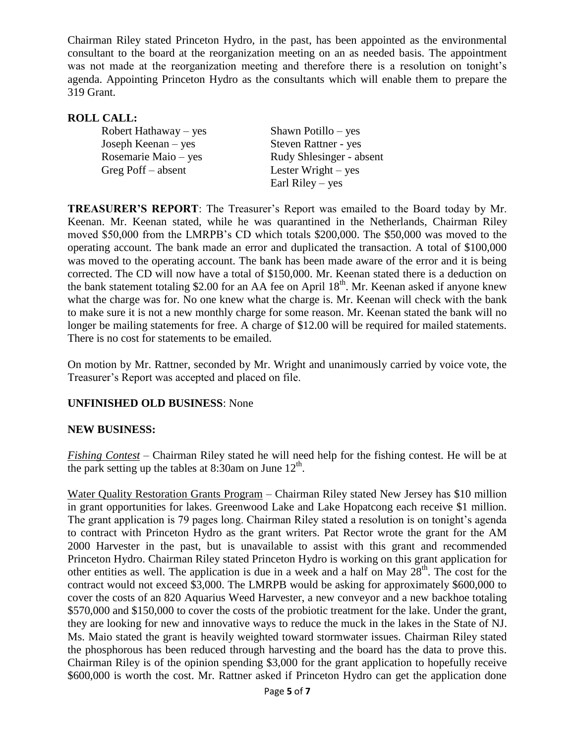Chairman Riley stated Princeton Hydro, in the past, has been appointed as the environmental consultant to the board at the reorganization meeting on an as needed basis. The appointment was not made at the reorganization meeting and therefore there is a resolution on tonight's agenda. Appointing Princeton Hydro as the consultants which will enable them to prepare the 319 Grant.

# **ROLL CALL:**

| Robert Hathaway – yes | Shawn Potillo – yes      |
|-----------------------|--------------------------|
| Joseph Keenan $-$ yes | Steven Rattner - yes     |
| Rosemarie Maio – yes  | Rudy Shlesinger - absent |
| Greg Poff $-$ absent  | Lester Wright $-$ yes    |
|                       | Earl Riley $-$ yes       |

**TREASURER'S REPORT**: The Treasurer's Report was emailed to the Board today by Mr. Keenan. Mr. Keenan stated, while he was quarantined in the Netherlands, Chairman Riley moved \$50,000 from the LMRPB's CD which totals \$200,000. The \$50,000 was moved to the operating account. The bank made an error and duplicated the transaction. A total of \$100,000 was moved to the operating account. The bank has been made aware of the error and it is being corrected. The CD will now have a total of \$150,000. Mr. Keenan stated there is a deduction on the bank statement totaling \$2.00 for an AA fee on April  $18<sup>th</sup>$ . Mr. Keenan asked if anyone knew what the charge was for. No one knew what the charge is. Mr. Keenan will check with the bank to make sure it is not a new monthly charge for some reason. Mr. Keenan stated the bank will no longer be mailing statements for free. A charge of \$12.00 will be required for mailed statements. There is no cost for statements to be emailed.

On motion by Mr. Rattner, seconded by Mr. Wright and unanimously carried by voice vote, the Treasurer's Report was accepted and placed on file.

## **UNFINISHED OLD BUSINESS**: None

#### **NEW BUSINESS:**

*Fishing Contest* – Chairman Riley stated he will need help for the fishing contest. He will be at the park setting up the tables at 8:30am on June  $12<sup>th</sup>$ .

Water Quality Restoration Grants Program – Chairman Riley stated New Jersey has \$10 million in grant opportunities for lakes. Greenwood Lake and Lake Hopatcong each receive \$1 million. The grant application is 79 pages long. Chairman Riley stated a resolution is on tonight's agenda to contract with Princeton Hydro as the grant writers. Pat Rector wrote the grant for the AM 2000 Harvester in the past, but is unavailable to assist with this grant and recommended Princeton Hydro. Chairman Riley stated Princeton Hydro is working on this grant application for other entities as well. The application is due in a week and a half on May  $28<sup>th</sup>$ . The cost for the contract would not exceed \$3,000. The LMRPB would be asking for approximately \$600,000 to cover the costs of an 820 Aquarius Weed Harvester, a new conveyor and a new backhoe totaling \$570,000 and \$150,000 to cover the costs of the probiotic treatment for the lake. Under the grant, they are looking for new and innovative ways to reduce the muck in the lakes in the State of NJ. Ms. Maio stated the grant is heavily weighted toward stormwater issues. Chairman Riley stated the phosphorous has been reduced through harvesting and the board has the data to prove this. Chairman Riley is of the opinion spending \$3,000 for the grant application to hopefully receive \$600,000 is worth the cost. Mr. Rattner asked if Princeton Hydro can get the application done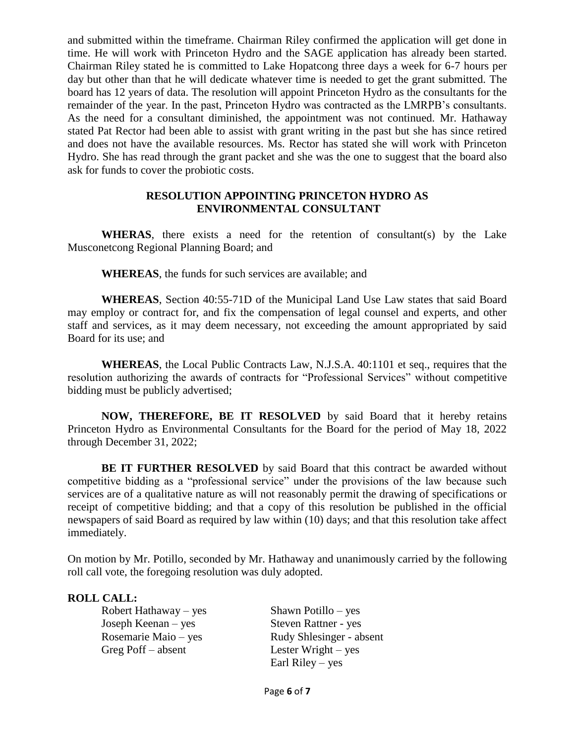and submitted within the timeframe. Chairman Riley confirmed the application will get done in time. He will work with Princeton Hydro and the SAGE application has already been started. Chairman Riley stated he is committed to Lake Hopatcong three days a week for 6-7 hours per day but other than that he will dedicate whatever time is needed to get the grant submitted. The board has 12 years of data. The resolution will appoint Princeton Hydro as the consultants for the remainder of the year. In the past, Princeton Hydro was contracted as the LMRPB's consultants. As the need for a consultant diminished, the appointment was not continued. Mr. Hathaway stated Pat Rector had been able to assist with grant writing in the past but she has since retired and does not have the available resources. Ms. Rector has stated she will work with Princeton Hydro. She has read through the grant packet and she was the one to suggest that the board also ask for funds to cover the probiotic costs.

#### **RESOLUTION APPOINTING PRINCETON HYDRO AS ENVIRONMENTAL CONSULTANT**

**WHERAS**, there exists a need for the retention of consultant(s) by the Lake Musconetcong Regional Planning Board; and

**WHEREAS**, the funds for such services are available; and

**WHEREAS**, Section 40:55-71D of the Municipal Land Use Law states that said Board may employ or contract for, and fix the compensation of legal counsel and experts, and other staff and services, as it may deem necessary, not exceeding the amount appropriated by said Board for its use; and

**WHEREAS**, the Local Public Contracts Law, N.J.S.A. 40:1101 et seq., requires that the resolution authorizing the awards of contracts for "Professional Services" without competitive bidding must be publicly advertised;

**NOW, THEREFORE, BE IT RESOLVED** by said Board that it hereby retains Princeton Hydro as Environmental Consultants for the Board for the period of May 18, 2022 through December 31, 2022;

**BE IT FURTHER RESOLVED** by said Board that this contract be awarded without competitive bidding as a "professional service" under the provisions of the law because such services are of a qualitative nature as will not reasonably permit the drawing of specifications or receipt of competitive bidding; and that a copy of this resolution be published in the official newspapers of said Board as required by law within (10) days; and that this resolution take affect immediately.

On motion by Mr. Potillo, seconded by Mr. Hathaway and unanimously carried by the following roll call vote, the foregoing resolution was duly adopted.

## **ROLL CALL:**

Robert Hathaway – yes Shawn Potillo – yes Joseph Keenan – yes Steven Rattner - yes Greg Poff – absent Lester Wright – yes

Rosemarie Maio – yes Rudy Shlesinger - absent Earl Riley – yes